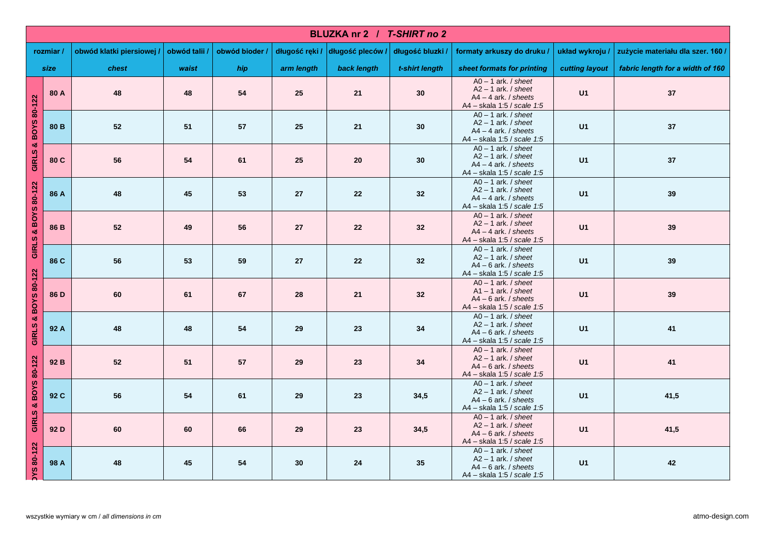|                     | BLUZKA nr 2 / T-SHIRT no 2 |                           |               |                |                |                |                  |                                                                                                                   |                 |                                   |  |
|---------------------|----------------------------|---------------------------|---------------|----------------|----------------|----------------|------------------|-------------------------------------------------------------------------------------------------------------------|-----------------|-----------------------------------|--|
|                     | rozmiar/                   | obwód klatki piersiowej / | obwód talii / | obwód bioder / | długość ręki / | długość pleców | długość bluzki / | formaty arkuszy do druku /                                                                                        | układ wykroju / | zużycie materiału dla szer. 160 / |  |
|                     | size                       | chest                     | waist         | hip            | arm length     | back length    | t-shirt length   | sheet formats for printing                                                                                        | cutting layout  | fabric length for a width of 160  |  |
|                     | 80 A                       | 48                        | 48            | 54             | 25             | 21             | 30               | $AO - 1$ ark. / sheet<br>$A2 - 1$ ark. <i>I</i> sheet<br>$AA - 4$ ark. / sheets<br>A4 - skala 1:5 / scale 1:5     | U1              | 37                                |  |
| GIRLS & BOYS 80-122 | 80 <sub>B</sub>            | 52                        | 51            | 57             | 25             | 21             | 30               | $\overline{AO} - 1$ ark. / sheet<br>$A2 - 1$ ark. / sheet<br>$AA - 4$ ark. / sheets<br>A4 - skala 1:5 / scale 1:5 | U1              | 37                                |  |
|                     | 80 C                       | 56                        | 54            | 61             | 25             | 20             | 30               | $AO - 1$ ark. / sheet<br>$A2 - 1$ ark. / sheet<br>$AA - 4$ ark. <i>I</i> sheets<br>A4 - skala 1:5 / scale 1:5     | U1              | 37                                |  |
|                     | 86 A                       | 48                        | 45            | 53             | 27             | 22             | 32               | $AO - 1$ ark. <i>I sheet</i><br>$A2 - 1$ ark. / sheet<br>$AA - 4$ ark. / sheets<br>A4 - skala 1:5 / scale 1:5     | U1              | 39                                |  |
| GIRLS & BOYS 80-122 | 86 B                       | 52                        | 49            | 56             | 27             | 22             | 32               | $AO - 1$ ark. / sheet<br>$A2 - 1$ ark. / sheet<br>$AA - 4$ ark. / sheets<br>A4 - skala 1:5 / scale 1:5            | U1              | 39                                |  |
|                     | 86 C                       | 56                        | 53            | 59             | 27             | 22             | 32               | $AO - 1$ ark. / sheet<br>$A2 - 1$ ark. / sheet<br>$AA - 6$ ark. / sheets<br>A4 - skala 1:5 / scale 1:5            | U1              | 39                                |  |
| GIRLS & BOYS 80-122 | 86 D                       | 60                        | 61            | 67             | 28             | 21             | 32               | $AO - 1$ ark. / sheet<br>$A1 - 1$ ark. / sheet<br>$A4 - 6$ ark. / sheets<br>A4 - skala 1:5 / scale 1:5            | U1              | 39                                |  |
|                     | 92 A                       | 48                        | 48            | 54             | 29             | 23             | 34               | $AO - 1$ ark. / sheet<br>$A2 - 1$ ark. / sheet<br>$A4 - 6$ ark. / sheets<br>A4 - skala 1:5 / scale 1:5            | U1              | 41                                |  |
|                     | 92 B                       | 52                        | 51            | 57             | 29             | 23             | 34               | $AO - 1$ ark. / sheet<br>$A2 - 1$ ark. / sheet<br>$AA - 6$ ark. / sheets<br>A4 - skala 1:5 / scale 1:5            | U1              | 41                                |  |
| GIRLS & BOYS 80-122 | 92 C                       | 56                        | 54            | 61             | 29             | 23             | 34,5             | $AO - 1$ ark. / sheet<br>$A2 - 1$ ark. <i>I</i> sheet<br>A4 - 6 ark. / sheets<br>A4 - skala 1:5 / scale 1:5       | U1              | 41,5                              |  |
|                     | 92 D                       | 60                        | 60            | 66             | 29             | 23             | 34,5             | $AO - 1$ ark. / sheet<br>$A2 - 1$ ark. / sheet<br>$AA - 6$ ark. / sheets<br>A4 - skala 1:5 / scale 1:5            | U1              | 41,5                              |  |
| <b>NS 80-122</b>    | 98 A                       | 48                        | 45            | 54             | 30             | 24             | 35               | $AO - 1$ ark. / sheet<br>$A2 - 1$ ark. / sheet<br>$A4 - 6$ ark. / sheets<br>A4 - skala 1:5 / scale 1:5            | U1              | 42                                |  |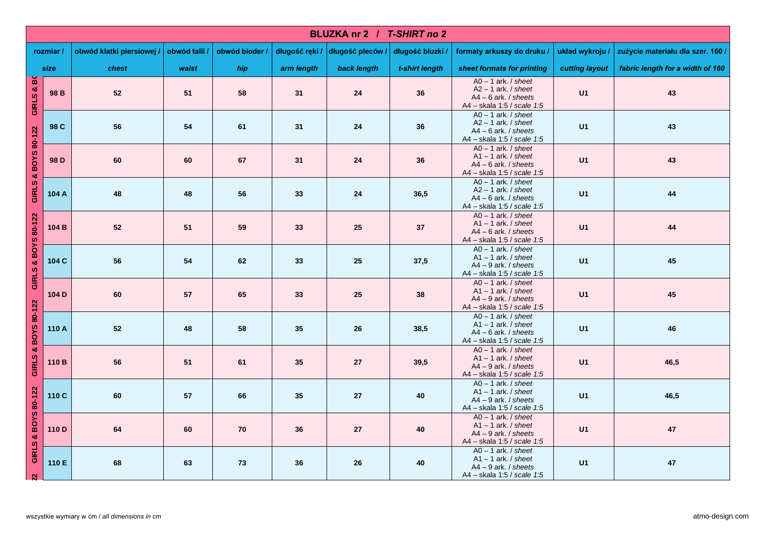|                     | BLUZKA nr 2 / T-SHIRT no 2 |                           |               |                |                |                |                  |                                                                                                                   |                 |                                   |  |
|---------------------|----------------------------|---------------------------|---------------|----------------|----------------|----------------|------------------|-------------------------------------------------------------------------------------------------------------------|-----------------|-----------------------------------|--|
|                     | rozmiar/                   | obwód klatki piersiowej / | obwód talii / | obwód bioder / | długość ręki / | długość pleców | długość bluzki / | formaty arkuszy do druku /                                                                                        | układ wykroju / | zużycie materiału dla szer. 160 / |  |
| size                |                            | chest                     | waist         | hip            | arm length     | back length    | t-shirt length   | sheet formats for printing                                                                                        | cutting layout  | fabric length for a width of 160  |  |
| GIRLS & BO          | 98 B                       | 52                        | 51            | 58             | 31             | 24             | 36               | $AO - 1$ ark. / sheet<br>$A2 - 1$ ark. / sheet<br>$A4 - 6$ ark. / sheets<br>A4 - skala 1:5 / scale 1:5            | U1              | 43                                |  |
|                     | 98 C                       | 56                        | 54            | 61             | 31             | 24             | 36               | $AO - 1$ ark. / sheet<br>$A2 - 1$ ark. / sheet<br>$AA - 6$ ark. / sheets<br>A4 - skala 1:5 / scale 1:5            | U1              | 43                                |  |
| GIRLS & BOYS 80-122 | 98 D                       | 60                        | 60            | 67             | 31             | 24             | 36               | $AO - 1$ ark. / sheet<br>$A1 - 1$ ark. / sheet<br>$A4 - 6$ ark. / sheets<br>A4 - skala 1:5 / scale 1:5            | U1              | 43                                |  |
|                     | 104 A                      | 48                        | 48            | 56             | 33             | 24             | 36,5             | $AO - 1$ ark. / sheet<br>$A2 - 1$ ark. / sheet<br>$AA - 6$ ark. / sheets<br>A4 - skala 1:5 / scale 1:5            | U1              | 44                                |  |
|                     | 104 B                      | 52                        | 51            | 59             | 33             | 25             | 37               | $AO - 1$ ark. / sheet<br>$A1 - 1$ ark. / sheet<br>$AA - 6$ ark. / sheets<br>A4 - skala 1:5 / scale 1:5            | U1              | 44                                |  |
| GIRLS & BOYS 80-122 | 104 C                      | 56                        | 54            | 62             | 33             | 25             | 37,5             | $AO - 1$ ark. / sheet<br>$A1 - 1$ ark. / sheet<br>$A4 - 9$ ark. / sheets<br>A4 - skala 1:5 / scale 1:5            | U1              | 45                                |  |
|                     | 104 D                      | 60                        | 57            | 65             | 33             | 25             | 38               | $\overline{AO} - 1$ ark. / sheet<br>$A1 - 1$ ark. / sheet<br>$A4 - 9$ ark. / sheets<br>A4 - skala 1:5 / scale 1:5 | U1              | 45                                |  |
| GIRLS & BOYS 80-122 | 110 A                      | 52                        | 48            | 58             | 35             | 26             | 38,5             | $AO - 1$ ark. <i>I sheet</i><br>$A1 - 1$ ark. / sheet<br>$AA - 6$ ark. / sheets<br>A4 - skala 1:5 / scale 1:5     | U1              | 46                                |  |
|                     | 110 B                      | 56                        | 51            | 61             | 35             | 27             | 39,5             | $AO - 1$ ark. / sheet<br>$A1 - 1$ ark. / sheet<br>$A4 - 9$ ark. / sheets<br>A4 - skala 1:5 / scale 1:5            | U1              | 46,5                              |  |
|                     | 110 C                      | 60                        | 57            | 66             | 35             | 27             | 40               | $AO - 1$ ark. / sheet<br>$A1 - 1$ ark. / sheet<br>$A4 - 9$ ark. / sheets<br>A4 - skala 1:5 / scale 1:5            | U1              | 46,5                              |  |
| GIRLS & BOYS 80-122 | 110 D                      | 64                        | 60            | 70             | 36             | 27             | 40               | $AO - 1$ ark. / sheet<br>$A1 - 1$ ark. / sheet<br>$A4 - 9$ ark. / sheets<br>A4 - skala 1:5 / scale 1:5            | U1              | 47                                |  |
| $\mathbf{N}$        | 110 E                      | 68                        | 63            | 73             | 36             | 26             | 40               | $AO - 1$ ark. / sheet<br>$A1 - 1$ ark. / sheet<br>$A4 - 9$ ark. / sheets<br>A4 - skala 1:5 / scale 1:5            | U1              | 47                                |  |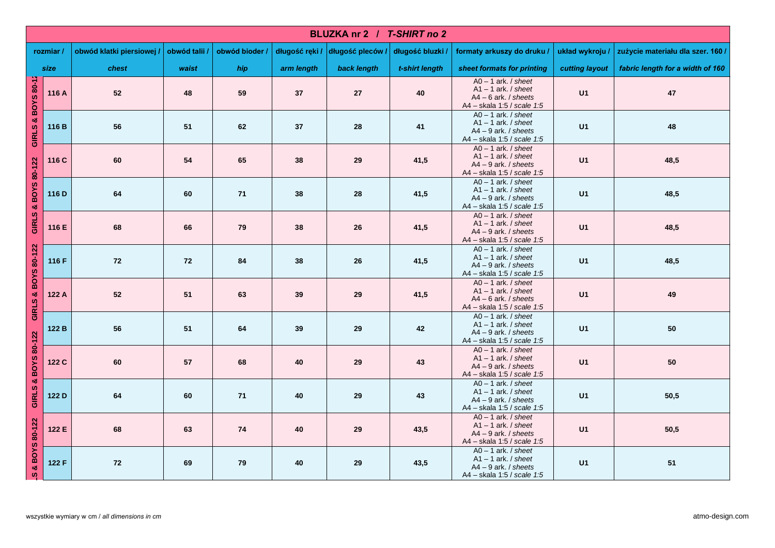|                     | BLUZKA nr 2 / T-SHIRT no 2 |                           |               |                |                |                  |                  |                                                                                                               |                |                                   |  |
|---------------------|----------------------------|---------------------------|---------------|----------------|----------------|------------------|------------------|---------------------------------------------------------------------------------------------------------------|----------------|-----------------------------------|--|
|                     | rozmiar/                   | obwód klatki piersiowej / | obwód talii / | obwód bioder / | długość ręki / | długość pleców / | długość bluzki / | formaty arkuszy do druku /                                                                                    | układ wykroju  | zużycie materiału dla szer. 160 / |  |
| size                |                            | chest                     | waist         | hip            | arm length     | back length      | t-shirt length   | sheet formats for printing                                                                                    | cutting layout | fabric length for a width of 160  |  |
| GIRLS & BOYS 80-12  | 116 A                      | 52                        | 48            | 59             | 37             | 27               | 40               | $AO - 1$ ark. / sheet<br>$A1 - 1$ ark. / sheet<br>$AA - 6$ ark, $/$ sheets<br>A4 - skala 1:5 / scale 1:5      | U1             | 47                                |  |
|                     | 116 B                      | 56                        | 51            | 62             | 37             | 28               | $\bf{41}$        | $AO - 1$ ark. / sheet<br>$A1 - 1$ ark. / sheet<br>$AA - 9$ ark. / sheets<br>A4 - skala 1:5 / scale 1:5        | U1             | 48                                |  |
|                     | 116 C                      | 60                        | 54            | 65             | 38             | 29               | 41,5             | $AO - 1$ ark. / sheet<br>$A1 - 1$ ark. / sheet<br>$A4 - 9$ ark. / sheets<br>A4 - skala 1:5 / scale 1:5        | U1             | 48,5                              |  |
| GIRLS & BOYS 80-122 | 116 D                      | 64                        | 60            | ${\bf 71}$     | 38             | 28               | 41,5             | $AO - 1$ ark. / sheet<br>$A1 - 1$ ark. / sheet<br>$AA - 9$ ark. / sheets<br>A4 - skala 1:5 / scale 1:5        | U1             | 48,5                              |  |
|                     | 116 E                      | 68                        | 66            | 79             | 38             | 26               | 41,5             | $AO - 1$ ark. / sheet<br>$A1 - 1$ ark. / sheet<br>$A4 - 9$ ark. / sheets<br>A4 - skala 1:5 / scale 1:5        | U1             | 48,5                              |  |
|                     | 116 F                      | 72                        | 72            | 84             | 38             | 26               | 41,5             | $AO - 1$ ark. <i>I</i> sheet<br>$A1 - 1$ ark. / sheet<br>$AA - 9$ ark. / sheets<br>A4 - skala 1:5 / scale 1:5 | U1             | 48,5                              |  |
| GIRLS & BOYS 80-122 | 122 A                      | 52                        | 51            | 63             | 39             | 29               | 41,5             | $AO - 1$ ark. / sheet<br>$A1 - 1$ ark. / sheet<br>$A4 - 6$ ark. / sheets<br>A4 - skala 1:5 / scale 1:5        | U1             | 49                                |  |
|                     | 122 B                      | 56                        | 51            | 64             | 39             | 29               | 42               | $AO - 1$ ark. <i>I</i> sheet<br>$A1 - 1$ ark. / sheet<br>$AA - 9$ ark. / sheets<br>A4 - skala 1:5 / scale 1:5 | U1             | 50                                |  |
| GIRLS & BOYS 80-122 | 122 C                      | 60                        | 57            | 68             | 40             | 29               | 43               | $AO - 1$ ark. / sheet<br>$A1 - 1$ ark. / sheet<br>$A4 - 9$ ark. / sheets<br>A4 - skala 1:5 / scale 1:5        | U1             | 50                                |  |
|                     | 122 D                      | 64                        | 60            | 71             | 40             | 29               | 43               | $AO - 1$ ark. / sheet<br>$A1 - 1$ ark. / sheet<br>$AA - 9$ ark. / sheets<br>A4 - skala 1:5 / scale 1:5        | U1             | 50,5                              |  |
|                     | 122 E                      | 68                        | 63            | 74             | 40             | 29               | 43,5             | $AO - 1$ ark. / sheet<br>$A1 - 1$ ark. / sheet<br>$A4 - 9$ ark. / sheets<br>A4 - skala 1:5 / scale 1:5        | U1             | 50,5                              |  |
| S & BOYS 80-122     | 122 F                      | 72                        | 69            | 79             | 40             | 29               | 43,5             | $AO - 1$ ark. / sheet<br>$A1 - 1$ ark. / sheet<br>$A4 - 9$ ark. / sheets<br>A4 - skala 1:5 / scale 1:5        | U1             | ${\bf 51}$                        |  |